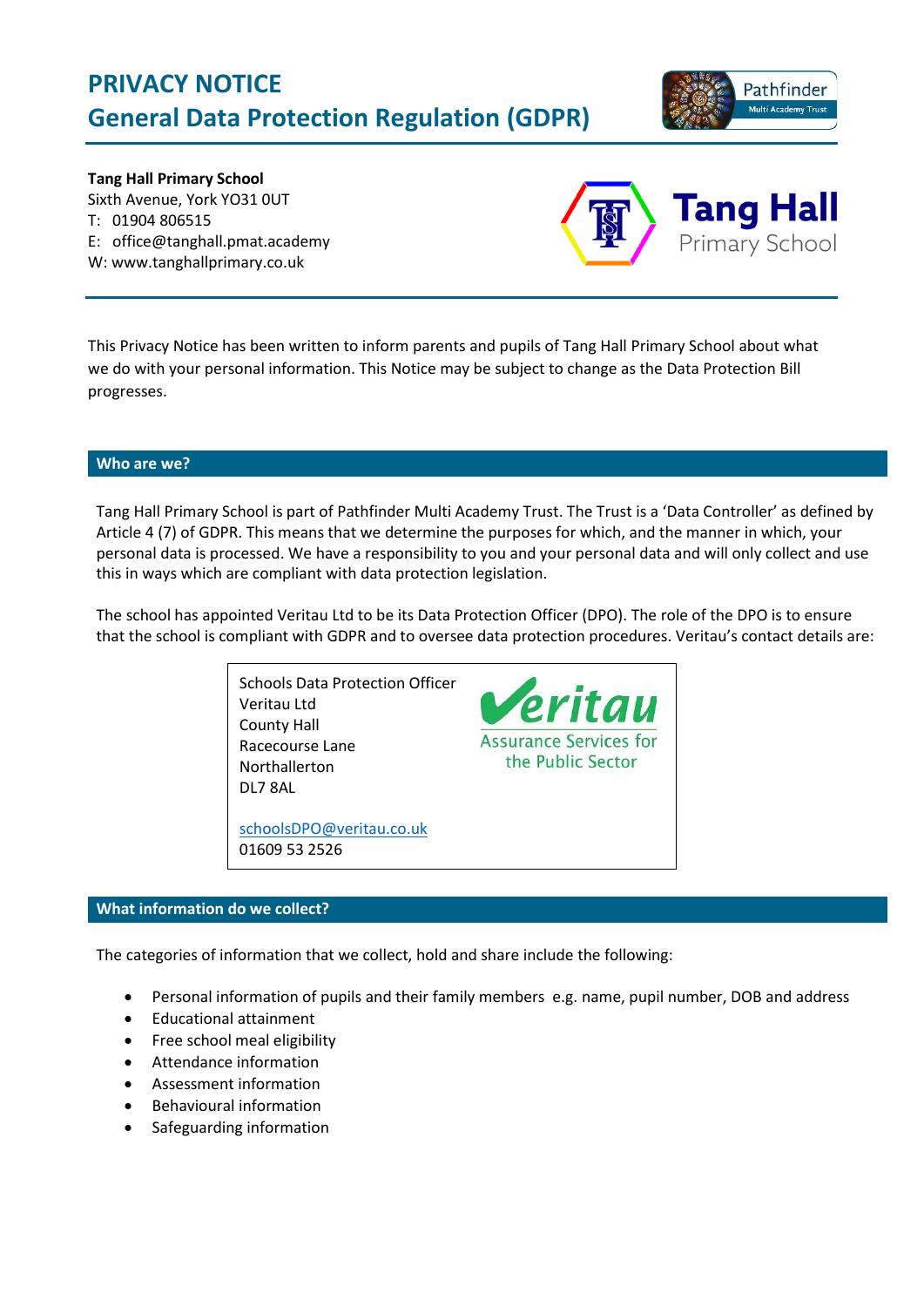# **PRIVACY NOTICE General Data Protection Regulation (GDPR)**



**Tang Hall Primary School** Sixth Avenue, York YO31 0UT T: 01904 806515 E: office@tanghall.pmat.academy W: www.tanghallprimary.co.uk



This Privacy Notice has been written to inform parents and pupils of Tang Hall Primary School about what we do with your personal information. This Notice may be subject to change as the Data Protection Bill progresses.

## **Who are we?**

Tang Hall Primary School is part of Pathfinder Multi Academy Trust. The Trust is a 'Data Controller' as defined by Article 4 (7) of GDPR. This means that we determine the purposes for which, and the manner in which, your personal data is processed. We have a responsibility to you and your personal data and will only collect and use this in ways which are compliant with data protection legislation.

The school has appointed Veritau Ltd to be its Data Protection Officer (DPO). The role of the DPO is to ensure that the school is compliant with GDPR and to oversee data protection procedures. Veritau's contact details are:



#### **What information do we collect?**

The categories of information that we collect, hold and share include the following:

- Personal information of pupils and their family members e.g. name, pupil number, DOB and address
- Educational attainment
- Free school meal eligibility
- Attendance information
- Assessment information
- Behavioural information
- Safeguarding information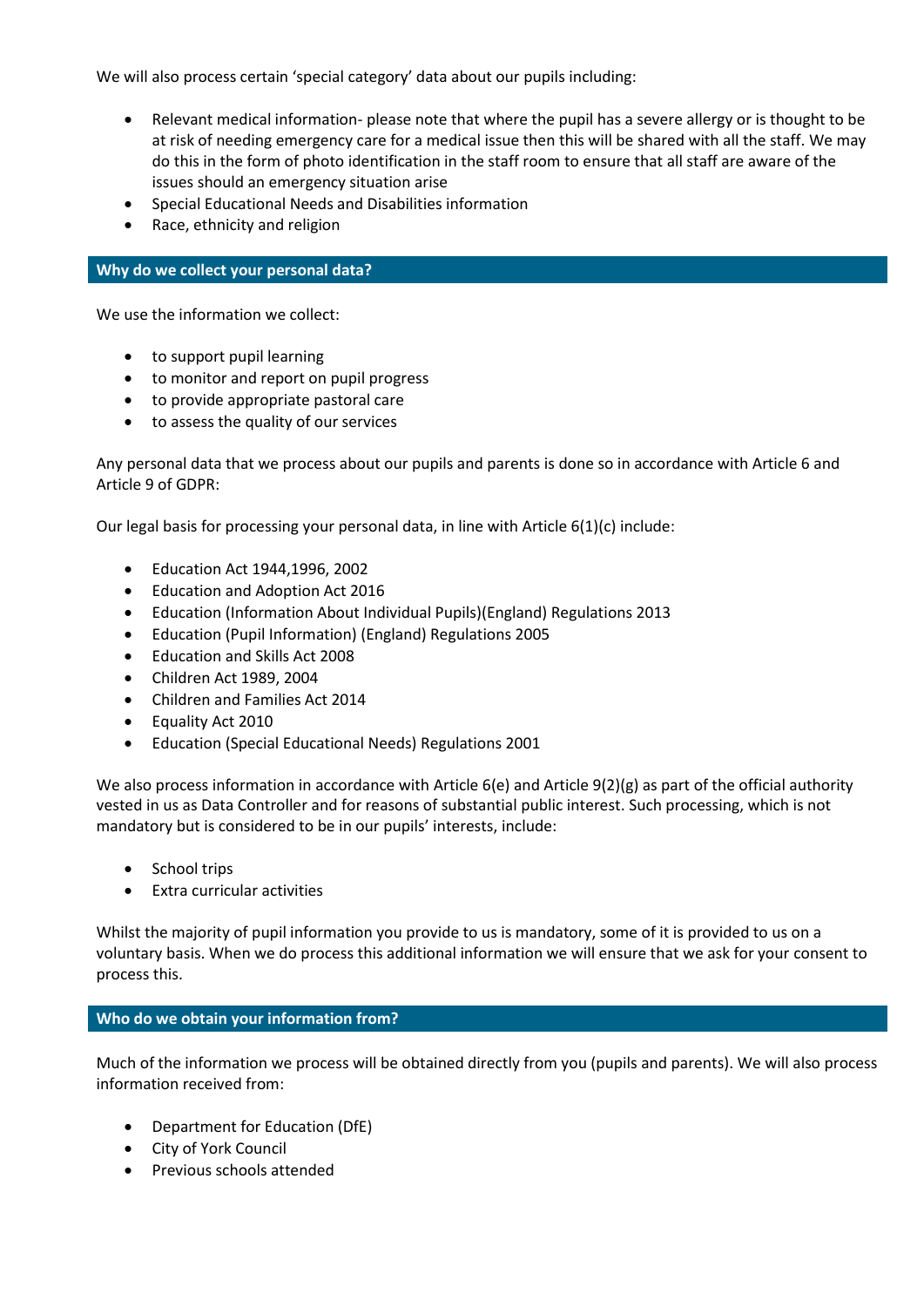We will also process certain 'special category' data about our pupils including:

- Relevant medical information- please note that where the pupil has a severe allergy or is thought to be at risk of needing emergency care for a medical issue then this will be shared with all the staff. We may do this in the form of photo identification in the staff room to ensure that all staff are aware of the issues should an emergency situation arise
- Special Educational Needs and Disabilities information
- Race, ethnicity and religion

## **Why do we collect your personal data?**

We use the information we collect:

- to support pupil learning
- to monitor and report on pupil progress
- to provide appropriate pastoral care
- to assess the quality of our services

Any personal data that we process about our pupils and parents is done so in accordance with Article 6 and Article 9 of GDPR:

Our legal basis for processing your personal data, in line with Article  $6(1)(c)$  include:

- Education Act 1944,1996, 2002
- Education and Adoption Act 2016
- Education (Information About Individual Pupils)(England) Regulations 2013
- Education (Pupil Information) (England) Regulations 2005
- Education and Skills Act 2008
- Children Act 1989, 2004
- Children and Families Act 2014
- Equality Act 2010
- Education (Special Educational Needs) Regulations 2001

We also process information in accordance with Article  $6(e)$  and Article  $9(2)(g)$  as part of the official authority vested in us as Data Controller and for reasons of substantial public interest. Such processing, which is not mandatory but is considered to be in our pupils' interests, include:

- School trips
- Extra curricular activities

Whilst the majority of pupil information you provide to us is mandatory, some of it is provided to us on a voluntary basis. When we do process this additional information we will ensure that we ask for your consent to process this.

## **Who do we obtain your information from?**

Much of the information we process will be obtained directly from you (pupils and parents). We will also process information received from:

- Department for Education (DfE)
- City of York Council
- Previous schools attended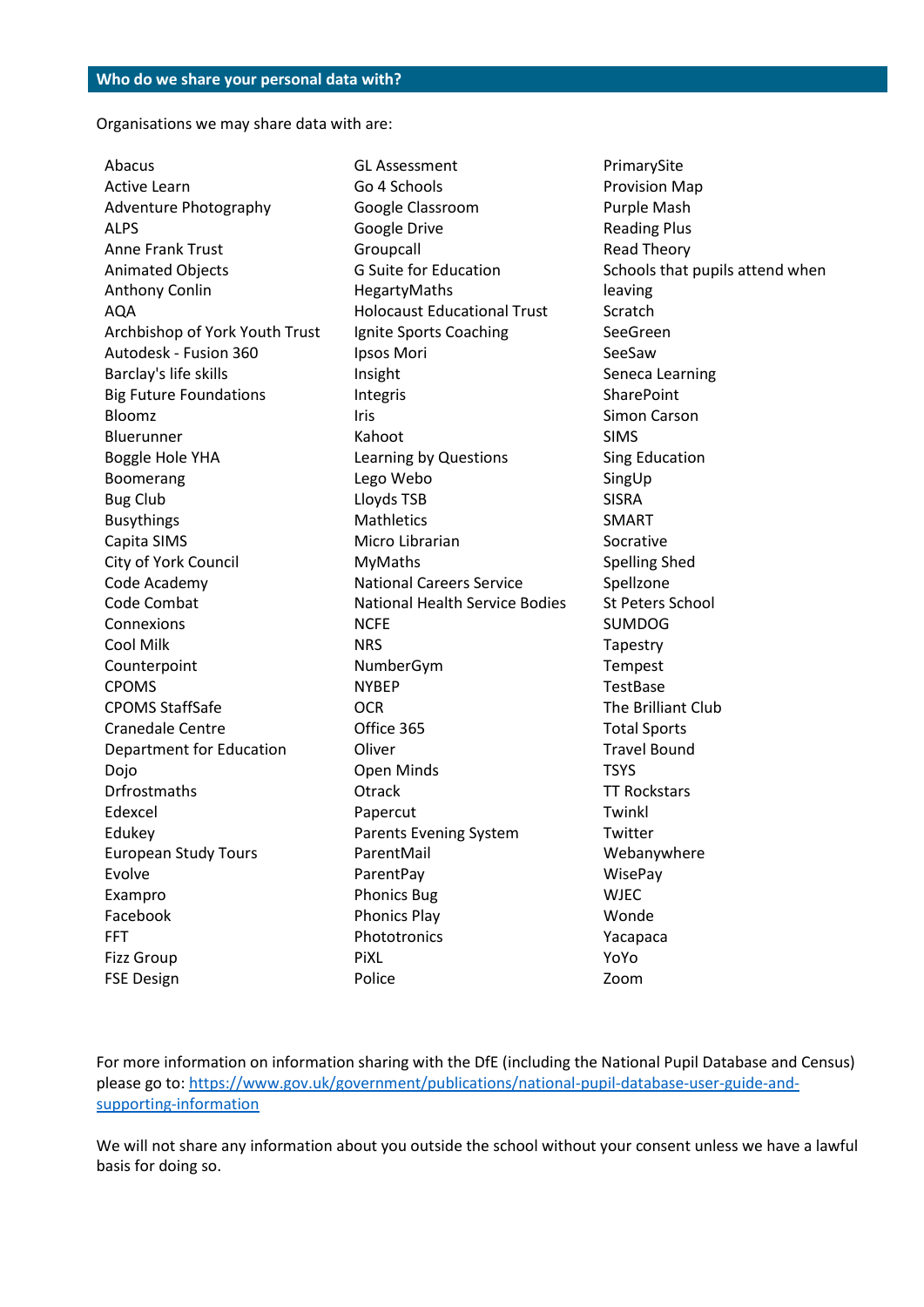Organisations we may share data with are:

Abacus Active Learn Adventure Photography ALPS Anne Frank Trust Animated Objects Anthony Conlin AQA Archbishop of York Youth Trust Autodesk - Fusion 360 Barclay's life skills Big Future Foundations Bloomz Bluerunner Boggle Hole YHA Boomerang Bug Club Busythings Capita SIMS City of York Council Code Academy Code Combat Connexions Cool Milk Counterpoint CPOMS CPOMS StaffSafe Cranedale Centre Department for Education Dojo Drfrostmaths Edexcel Edukey European Study Tours Evolve Exampro Facebook FFT Fizz Group FSE Design

GL Assessment Go 4 Schools Google Classroom Google Drive Groupcall G Suite for Education HegartyMaths Holocaust Educational Trust Ignite Sports Coaching Ipsos Mori Insight Integris Iris Kahoot Learning by Questions Lego Webo Lloyds TSB **Mathletics** Micro Librarian MyMaths National Careers Service National Health Service Bodies **NCFF NRS** NumberGym NYBEP **OCR** Office 365 Oliver Open Minds **Otrack** Papercut Parents Evening System ParentMail ParentPay Phonics Bug Phonics Play Phototronics PiXL Police

PrimarySite Provision Map Purple Mash Reading Plus Read Theory Schools that pupils attend when leaving **Scratch** SeeGreen SeeSaw Seneca Learning **SharePoint** Simon Carson SIMS Sing Education SingUp SISRA SMART Socrative Spelling Shed Spellzone St Peters School SUMDOG Tapestry Tempest **TestBase** The Brilliant Club Total Sports Travel Bound **TSYS** TT Rockstars Twinkl **Twitter** Webanywhere WisePay **WIFC** Wonde Yacapaca YoYo Zoom

For more information on information sharing with the DfE (including the National Pupil Database and Census) please go to: [https://www.gov.uk/government/publications/national-pupil-database-user-guide-and](https://www.gov.uk/government/publications/national-pupil-database-user-guide-and-supporting-information)[supporting-information](https://www.gov.uk/government/publications/national-pupil-database-user-guide-and-supporting-information)

We will not share any information about you outside the school without your consent unless we have a lawful basis for doing so.